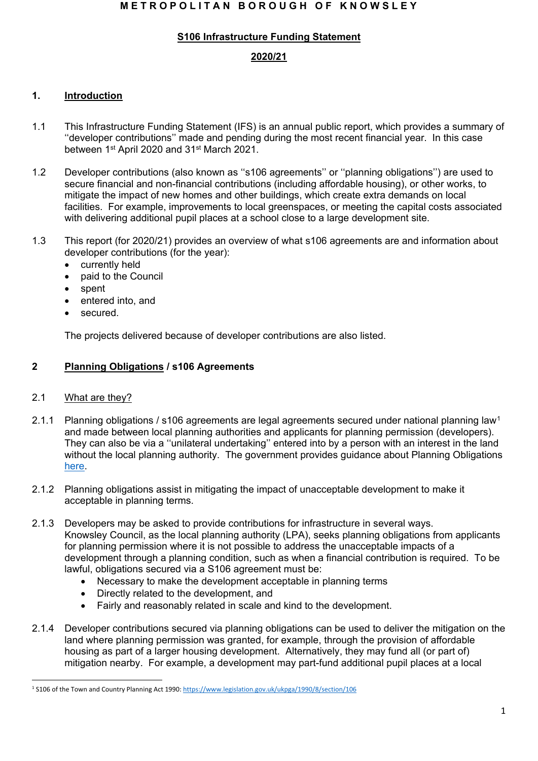## **M E T R O P O L I T A N B O R O U G H O F K N O W S L E Y**

## **S106 Infrastructure Funding Statement**

# **2020/21**

## **1. Introduction**

- 1.1 This Infrastructure Funding Statement (IFS) is an annual public report, which provides a summary of ''developer contributions'' made and pending during the most recent financial year. In this case between 1<sup>st</sup> April 2020 and 31<sup>st</sup> March 2021.
- 1.2 Developer contributions (also known as ''s106 agreements'' or ''planning obligations'') are used to secure financial and non-financial contributions (including affordable housing), or other works, to mitigate the impact of new homes and other buildings, which create extra demands on local facilities. For example, improvements to local greenspaces, or meeting the capital costs associated with delivering additional pupil places at a school close to a large development site.
- 1.3 This report (for 2020/21) provides an overview of what s106 agreements are and information about developer contributions (for the year):
	- currently held
	- paid to the Council
	- spent
	- entered into, and
	- secured.

The projects delivered because of developer contributions are also listed.

## **2 Planning Obligations / s106 Agreements**

#### 2.1 What are they?

- 2.1.1 Planning obligations / s106 agreements are legal agreements secured under national planning law[1](#page-0-0) and made between local planning authorities and applicants for planning permission (developers). They can also be via a ''unilateral undertaking'' entered into by a person with an interest in the land without the local planning authority. The government provides guidance about Planning Obligations [here.](https://www.gov.uk/guidance/planning-obligations)
- 2.1.2 Planning obligations assist in mitigating the impact of unacceptable development to make it acceptable in planning terms.
- 2.1.3 Developers may be asked to provide contributions for infrastructure in several ways. Knowsley Council, as the local planning authority (LPA), seeks planning obligations from applicants for planning permission where it is not possible to address the unacceptable impacts of a development through a planning condition, such as when a financial contribution is required. To be lawful, obligations secured via a S106 agreement must be:
	- Necessary to make the development acceptable in planning terms
	- Directly related to the development, and
	- Fairly and reasonably related in scale and kind to the development.
- 2.1.4 Developer contributions secured via planning obligations can be used to deliver the mitigation on the land where planning permission was granted, for example, through the provision of affordable housing as part of a larger housing development. Alternatively, they may fund all (or part of) mitigation nearby. For example, a development may part-fund additional pupil places at a local

<span id="page-0-0"></span><sup>&</sup>lt;sup>1</sup> S106 of the Town and Country Planning Act 1990:<https://www.legislation.gov.uk/ukpga/1990/8/section/106>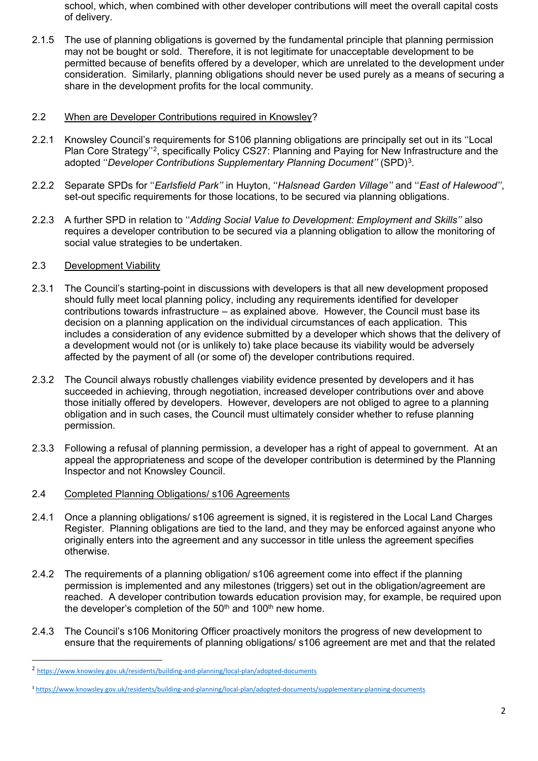school, which, when combined with other developer contributions will meet the overall capital costs of delivery.

2.1.5 The use of planning obligations is governed by the fundamental principle that planning permission may not be bought or sold. Therefore, it is not legitimate for unacceptable development to be permitted because of benefits offered by a developer, which are unrelated to the development under consideration. Similarly, planning obligations should never be used purely as a means of securing a share in the development profits for the local community.

## 2.2 When are Developer Contributions required in Knowsley?

- 2.2.1 Knowsley Council's requirements for S106 planning obligations are principally set out in its ''Local Plan Core Strategy''[2,](#page-1-0) specifically Policy CS27: Planning and Paying for New Infrastructure and the adopted ''*Developer Contributions Supplementary Planning Document''* (SPD)[3.](#page-1-1)
- 2.2.2 Separate SPDs for ''*Earlsfield Park''* in Huyton, ''*Halsnead Garden Village''* and ''*East of Halewood''*, set-out specific requirements for those locations, to be secured via planning obligations.
- 2.2.3 A further SPD in relation to ''*Adding Social Value to Development: Employment and Skills''* also requires a developer contribution to be secured via a planning obligation to allow the monitoring of social value strategies to be undertaken.

## 2.3 Development Viability

- 2.3.1 The Council's starting-point in discussions with developers is that all new development proposed should fully meet local planning policy, including any requirements identified for developer contributions towards infrastructure – as explained above. However, the Council must base its decision on a planning application on the individual circumstances of each application. This includes a consideration of any evidence submitted by a developer which shows that the delivery of a development would not (or is unlikely to) take place because its viability would be adversely affected by the payment of all (or some of) the developer contributions required.
- 2.3.2 The Council always robustly challenges viability evidence presented by developers and it has succeeded in achieving, through negotiation, increased developer contributions over and above those initially offered by developers. However, developers are not obliged to agree to a planning obligation and in such cases, the Council must ultimately consider whether to refuse planning permission.
- 2.3.3 Following a refusal of planning permission, a developer has a right of appeal to government. At an appeal the appropriateness and scope of the developer contribution is determined by the Planning Inspector and not Knowsley Council.
- 2.4 Completed Planning Obligations/ s106 Agreements
- 2.4.1 Once a planning obligations/ s106 agreement is signed, it is registered in the Local Land Charges Register. Planning obligations are tied to the land, and they may be enforced against anyone who originally enters into the agreement and any successor in title unless the agreement specifies otherwise.
- 2.4.2 The requirements of a planning obligation/ s106 agreement come into effect if the planning permission is implemented and any milestones (triggers) set out in the obligation/agreement are reached. A developer contribution towards education provision may, for example, be required upon the developer's completion of the  $50<sup>th</sup>$  and  $100<sup>th</sup>$  new home.
- 2.4.3 The Council's s106 Monitoring Officer proactively monitors the progress of new development to ensure that the requirements of planning obligations/ s106 agreement are met and that the related

<span id="page-1-0"></span><sup>2</sup> <https://www.knowsley.gov.uk/residents/building-and-planning/local-plan/adopted-documents>

<span id="page-1-1"></span><sup>3</sup> <https://www.knowsley.gov.uk/residents/building-and-planning/local-plan/adopted-documents/supplementary-planning-documents>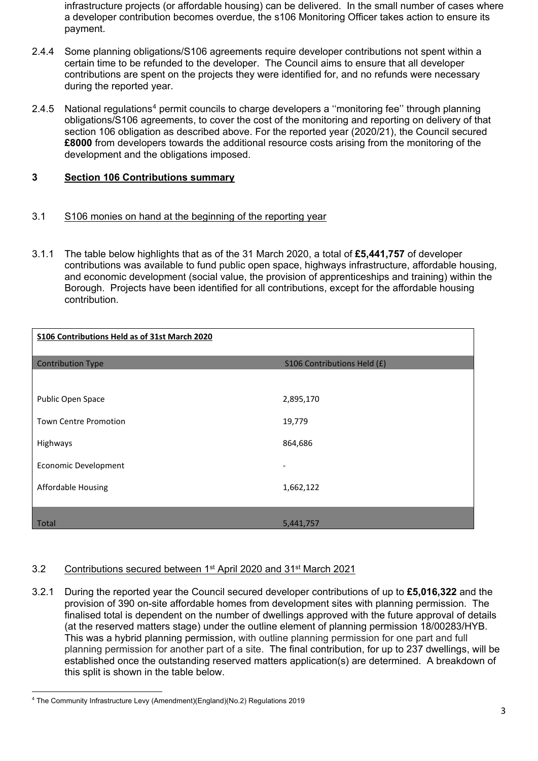infrastructure projects (or affordable housing) can be delivered. In the small number of cases where a developer contribution becomes overdue, the s106 Monitoring Officer takes action to ensure its payment.

- 2.4.4 Some planning obligations/S106 agreements require developer contributions not spent within a certain time to be refunded to the developer. The Council aims to ensure that all developer contributions are spent on the projects they were identified for, and no refunds were necessary during the reported year.
- 2.[4](#page-2-0).5 National regulations<sup>4</sup> permit councils to charge developers a "monitoring fee" through planning obligations/S106 agreements, to cover the cost of the monitoring and reporting on delivery of that section 106 obligation as described above. For the reported year (2020/21), the Council secured **£8000** from developers towards the additional resource costs arising from the monitoring of the development and the obligations imposed.

## **3 Section 106 Contributions summary**

## 3.1 S106 monies on hand at the beginning of the reporting year

3.1.1 The table below highlights that as of the 31 March 2020, a total of **£5,441,757** of developer contributions was available to fund public open space, highways infrastructure, affordable housing, and economic development (social value, the provision of apprenticeships and training) within the Borough. Projects have been identified for all contributions, except for the affordable housing contribution.

| S106 Contributions Held as of 31st March 2020 |                             |
|-----------------------------------------------|-----------------------------|
| <b>Contribution Type</b>                      | S106 Contributions Held (£) |
|                                               |                             |
| Public Open Space                             | 2,895,170                   |
| <b>Town Centre Promotion</b>                  | 19,779                      |
| Highways                                      | 864,686                     |
| <b>Economic Development</b>                   |                             |
| Affordable Housing                            | 1,662,122                   |
|                                               |                             |
| Total                                         | 5,441,757                   |

## 3.2 Contributions secured between 1st April 2020 and 31st March 2021

3.2.1 During the reported year the Council secured developer contributions of up to **£5,016,322** and the provision of 390 on-site affordable homes from development sites with planning permission. The finalised total is dependent on the number of dwellings approved with the future approval of details (at the reserved matters stage) under the outline element of planning permission 18/00283/HYB. This was a hybrid planning permission, with outline planning permission for one part and full planning permission for another part of a site. The final contribution, for up to 237 dwellings, will be established once the outstanding reserved matters application(s) are determined. A breakdown of this split is shown in the table below.

<span id="page-2-0"></span><sup>4</sup> The Community Infrastructure Levy (Amendment)(England)(No.2) Regulations 2019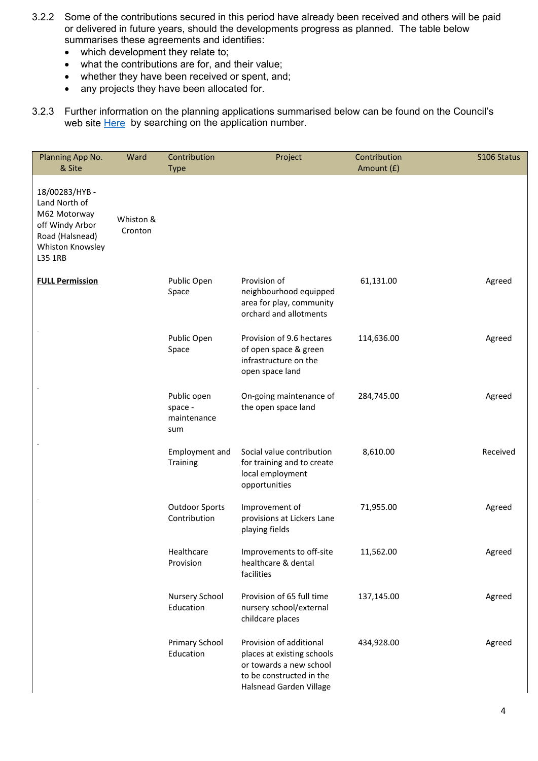- 3.2.2 Some of the contributions secured in this period have already been received and others will be paid or delivered in future years, should the developments progress as planned. The table below summarises these agreements and identifies:
	- which development they relate to;
	- what the contributions are for, and their value;
	- whether they have been received or spent, and;
	- any projects they have been allocated for.
- 3.2.3 Further information on the planning applications summarised below can be found on the Council's web site **Here** by searching on the application number.

| Planning App No.<br>& Site                                                                                          | Ward                 | Contribution<br><b>Type</b>                  | Project                                                                                                                                 | Contribution<br>Amount (£) | S106 Status |
|---------------------------------------------------------------------------------------------------------------------|----------------------|----------------------------------------------|-----------------------------------------------------------------------------------------------------------------------------------------|----------------------------|-------------|
| 18/00283/HYB-<br>Land North of<br>M62 Motorway<br>off Windy Arbor<br>Road (Halsnead)<br>Whiston Knowsley<br>L35 1RB | Whiston &<br>Cronton |                                              |                                                                                                                                         |                            |             |
| <b>FULL Permission</b>                                                                                              |                      | Public Open<br>Space                         | Provision of<br>neighbourhood equipped<br>area for play, community<br>orchard and allotments                                            | 61,131.00                  | Agreed      |
|                                                                                                                     |                      | Public Open<br>Space                         | Provision of 9.6 hectares<br>of open space & green<br>infrastructure on the<br>open space land                                          | 114,636.00                 | Agreed      |
|                                                                                                                     |                      | Public open<br>space -<br>maintenance<br>sum | On-going maintenance of<br>the open space land                                                                                          | 284,745.00                 | Agreed      |
|                                                                                                                     |                      | Employment and<br>Training                   | Social value contribution<br>for training and to create<br>local employment<br>opportunities                                            | 8,610.00                   | Received    |
|                                                                                                                     |                      | <b>Outdoor Sports</b><br>Contribution        | Improvement of<br>provisions at Lickers Lane<br>playing fields                                                                          | 71,955.00                  | Agreed      |
|                                                                                                                     |                      | Healthcare<br>Provision                      | Improvements to off-site<br>healthcare & dental<br>facilities                                                                           | 11,562.00                  | Agreed      |
|                                                                                                                     |                      | Nursery School<br>Education                  | Provision of 65 full time<br>nursery school/external<br>childcare places                                                                | 137,145.00                 | Agreed      |
|                                                                                                                     |                      | <b>Primary School</b><br>Education           | Provision of additional<br>places at existing schools<br>or towards a new school<br>to be constructed in the<br>Halsnead Garden Village | 434,928.00                 | Agreed      |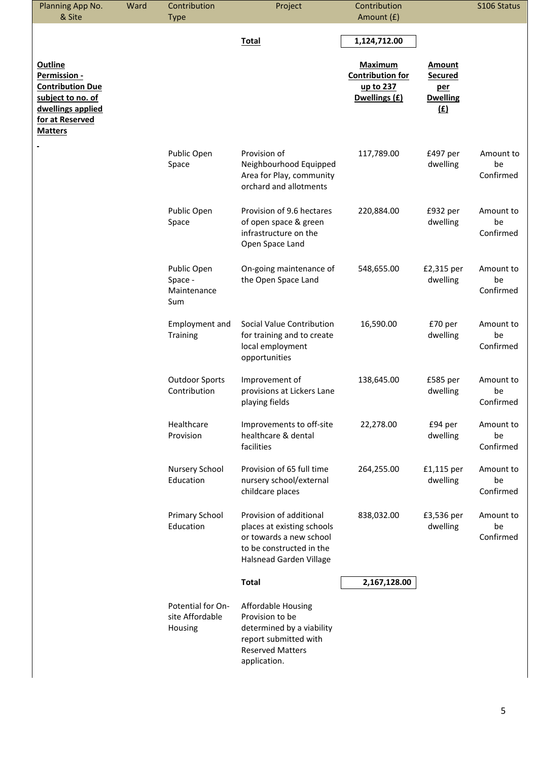| 1,124,712.00<br><b>Total</b><br><b>Outline</b><br><b>Maximum</b><br><b>Amount</b><br><b>Contribution for</b><br>Permission -<br><b>Secured</b><br><b>Contribution Due</b><br>up to 237<br>per<br>Dwellings (£)<br>subject to no. of<br><b>Dwelling</b><br>dwellings applied<br>(E)<br>for at Reserved<br><b>Matters</b><br>Public Open<br>Provision of<br>117,789.00<br>£497 per<br>Space<br>Neighbourhood Equipped<br>dwelling<br>be<br>Area for Play, community<br>orchard and allotments<br>Provision of 9.6 hectares<br>Public Open<br>220,884.00<br>£932 per<br>of open space & green<br>dwelling<br>be<br>Space<br>infrastructure on the<br>Open Space Land<br>Public Open<br>£2,315 per<br>On-going maintenance of<br>548,655.00<br>the Open Space Land<br>dwelling<br>be<br>Space -<br>Maintenance<br>Sum<br>Employment and<br>Social Value Contribution<br>16,590.00<br>£70 per<br>for training and to create<br>dwelling<br>be<br>Training<br>local employment<br>opportunities<br><b>Outdoor Sports</b><br>£585 per<br>Improvement of<br>138,645.00<br>Contribution<br>provisions at Lickers Lane<br>dwelling<br>be<br>playing fields<br>Healthcare<br>Improvements to off-site<br>22,278.00<br>£94 per<br>Provision<br>healthcare & dental<br>dwelling<br>be<br>facilities<br>Nursery School<br>Provision of 65 full time<br>264,255.00<br>£1,115 per<br>Education<br>dwelling<br>nursery school/external<br>be<br>childcare places<br>Primary School<br>Provision of additional<br>838,032.00<br>£3,536 per<br>Education<br>places at existing schools<br>dwelling<br>be<br>or towards a new school<br>to be constructed in the<br>Halsnead Garden Village<br><b>Total</b><br>2,167,128.00<br>Potential for On-<br><b>Affordable Housing</b><br>site Affordable<br>Provision to be<br>determined by a viability<br>Housing<br>report submitted with<br><b>Reserved Matters</b> | Planning App No.<br>& Site | Ward | Contribution<br><b>Type</b> | Project      | Contribution<br>Amount (£) |  | S106 Status            |
|---------------------------------------------------------------------------------------------------------------------------------------------------------------------------------------------------------------------------------------------------------------------------------------------------------------------------------------------------------------------------------------------------------------------------------------------------------------------------------------------------------------------------------------------------------------------------------------------------------------------------------------------------------------------------------------------------------------------------------------------------------------------------------------------------------------------------------------------------------------------------------------------------------------------------------------------------------------------------------------------------------------------------------------------------------------------------------------------------------------------------------------------------------------------------------------------------------------------------------------------------------------------------------------------------------------------------------------------------------------------------------------------------------------------------------------------------------------------------------------------------------------------------------------------------------------------------------------------------------------------------------------------------------------------------------------------------------------------------------------------------------------------------------------------------------------------------------------------------------------------------------------------|----------------------------|------|-----------------------------|--------------|----------------------------|--|------------------------|
|                                                                                                                                                                                                                                                                                                                                                                                                                                                                                                                                                                                                                                                                                                                                                                                                                                                                                                                                                                                                                                                                                                                                                                                                                                                                                                                                                                                                                                                                                                                                                                                                                                                                                                                                                                                                                                                                                             |                            |      |                             |              |                            |  |                        |
|                                                                                                                                                                                                                                                                                                                                                                                                                                                                                                                                                                                                                                                                                                                                                                                                                                                                                                                                                                                                                                                                                                                                                                                                                                                                                                                                                                                                                                                                                                                                                                                                                                                                                                                                                                                                                                                                                             |                            |      |                             |              |                            |  |                        |
|                                                                                                                                                                                                                                                                                                                                                                                                                                                                                                                                                                                                                                                                                                                                                                                                                                                                                                                                                                                                                                                                                                                                                                                                                                                                                                                                                                                                                                                                                                                                                                                                                                                                                                                                                                                                                                                                                             |                            |      |                             |              |                            |  | Amount to<br>Confirmed |
|                                                                                                                                                                                                                                                                                                                                                                                                                                                                                                                                                                                                                                                                                                                                                                                                                                                                                                                                                                                                                                                                                                                                                                                                                                                                                                                                                                                                                                                                                                                                                                                                                                                                                                                                                                                                                                                                                             |                            |      |                             |              |                            |  | Amount to<br>Confirmed |
|                                                                                                                                                                                                                                                                                                                                                                                                                                                                                                                                                                                                                                                                                                                                                                                                                                                                                                                                                                                                                                                                                                                                                                                                                                                                                                                                                                                                                                                                                                                                                                                                                                                                                                                                                                                                                                                                                             |                            |      |                             |              |                            |  | Amount to<br>Confirmed |
|                                                                                                                                                                                                                                                                                                                                                                                                                                                                                                                                                                                                                                                                                                                                                                                                                                                                                                                                                                                                                                                                                                                                                                                                                                                                                                                                                                                                                                                                                                                                                                                                                                                                                                                                                                                                                                                                                             |                            |      |                             |              |                            |  | Amount to<br>Confirmed |
|                                                                                                                                                                                                                                                                                                                                                                                                                                                                                                                                                                                                                                                                                                                                                                                                                                                                                                                                                                                                                                                                                                                                                                                                                                                                                                                                                                                                                                                                                                                                                                                                                                                                                                                                                                                                                                                                                             |                            |      |                             |              |                            |  | Amount to<br>Confirmed |
|                                                                                                                                                                                                                                                                                                                                                                                                                                                                                                                                                                                                                                                                                                                                                                                                                                                                                                                                                                                                                                                                                                                                                                                                                                                                                                                                                                                                                                                                                                                                                                                                                                                                                                                                                                                                                                                                                             |                            |      |                             |              |                            |  | Amount to<br>Confirmed |
|                                                                                                                                                                                                                                                                                                                                                                                                                                                                                                                                                                                                                                                                                                                                                                                                                                                                                                                                                                                                                                                                                                                                                                                                                                                                                                                                                                                                                                                                                                                                                                                                                                                                                                                                                                                                                                                                                             |                            |      |                             |              |                            |  | Amount to<br>Confirmed |
|                                                                                                                                                                                                                                                                                                                                                                                                                                                                                                                                                                                                                                                                                                                                                                                                                                                                                                                                                                                                                                                                                                                                                                                                                                                                                                                                                                                                                                                                                                                                                                                                                                                                                                                                                                                                                                                                                             |                            |      |                             |              |                            |  | Amount to<br>Confirmed |
|                                                                                                                                                                                                                                                                                                                                                                                                                                                                                                                                                                                                                                                                                                                                                                                                                                                                                                                                                                                                                                                                                                                                                                                                                                                                                                                                                                                                                                                                                                                                                                                                                                                                                                                                                                                                                                                                                             |                            |      |                             |              |                            |  |                        |
|                                                                                                                                                                                                                                                                                                                                                                                                                                                                                                                                                                                                                                                                                                                                                                                                                                                                                                                                                                                                                                                                                                                                                                                                                                                                                                                                                                                                                                                                                                                                                                                                                                                                                                                                                                                                                                                                                             |                            |      |                             | application. |                            |  |                        |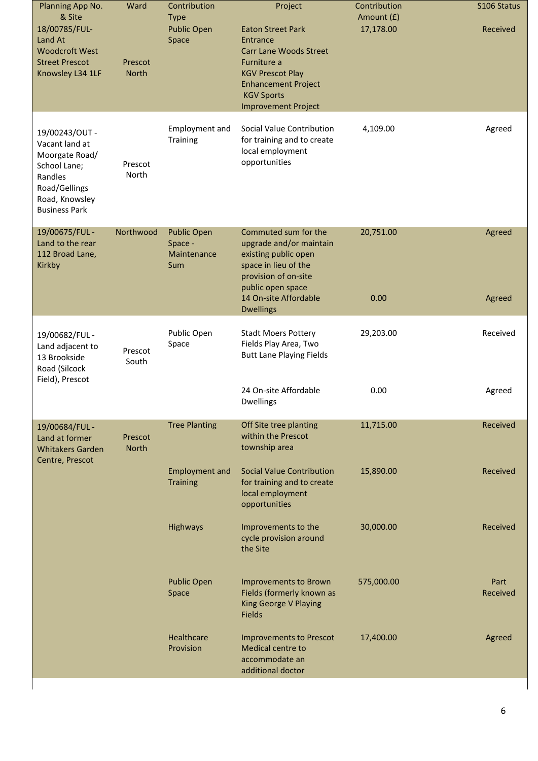| Planning App No.<br>& Site<br>18/00785/FUL-<br>Land At<br><b>Woodcroft West</b><br><b>Street Prescot</b><br>Knowsley L34 1LF            | Ward<br>Prescot<br><b>North</b> | Contribution<br><b>Type</b><br><b>Public Open</b><br>Space       | Project<br><b>Eaton Street Park</b><br>Entrance<br><b>Carr Lane Woods Street</b><br>Furniture a<br><b>KGV Prescot Play</b><br><b>Enhancement Project</b><br><b>KGV Sports</b><br><b>Improvement Project</b> | Contribution<br>Amount (£)<br>17,178.00 | S106 Status<br>Received |
|-----------------------------------------------------------------------------------------------------------------------------------------|---------------------------------|------------------------------------------------------------------|-------------------------------------------------------------------------------------------------------------------------------------------------------------------------------------------------------------|-----------------------------------------|-------------------------|
| 19/00243/OUT-<br>Vacant land at<br>Moorgate Road/<br>School Lane;<br>Randles<br>Road/Gellings<br>Road, Knowsley<br><b>Business Park</b> | Prescot<br>North                | Employment and<br>Training                                       | Social Value Contribution<br>for training and to create<br>local employment<br>opportunities                                                                                                                | 4,109.00                                | Agreed                  |
| 19/00675/FUL -<br>Land to the rear<br>112 Broad Lane,<br>Kirkby                                                                         | Northwood                       | <b>Public Open</b><br>Space -<br>Maintenance<br>Sum              | Commuted sum for the<br>upgrade and/or maintain<br>existing public open<br>space in lieu of the<br>provision of on-site<br>public open space<br>14 On-site Affordable<br><b>Dwellings</b>                   | 20,751.00<br>0.00                       | Agreed<br>Agreed        |
| 19/00682/FUL -<br>Land adjacent to<br>13 Brookside<br>Road (Silcock<br>Field), Prescot                                                  | Prescot<br>South                | Public Open<br>Space                                             | <b>Stadt Moers Pottery</b><br>Fields Play Area, Two<br><b>Butt Lane Playing Fields</b><br>24 On-site Affordable<br><b>Dwellings</b>                                                                         | 29,203.00<br>0.00                       | Received<br>Agreed      |
| 19/00684/FUL -<br>Land at former<br><b>Whitakers Garden</b><br>Centre, Prescot                                                          | Prescot<br>North                | <b>Tree Planting</b><br><b>Employment and</b><br><b>Training</b> | Off Site tree planting<br>within the Prescot<br>township area<br><b>Social Value Contribution</b><br>for training and to create<br>local employment<br>opportunities                                        | 11,715.00<br>15,890.00                  | Received<br>Received    |
|                                                                                                                                         |                                 | Highways                                                         | Improvements to the<br>cycle provision around<br>the Site                                                                                                                                                   | 30,000.00                               | Received                |
|                                                                                                                                         |                                 | <b>Public Open</b><br>Space                                      | Improvements to Brown<br>Fields (formerly known as<br>King George V Playing<br>Fields                                                                                                                       | 575,000.00                              | Part<br>Received        |
|                                                                                                                                         |                                 | Healthcare<br>Provision                                          | <b>Improvements to Prescot</b><br>Medical centre to<br>accommodate an<br>additional doctor                                                                                                                  | 17,400.00                               | Agreed                  |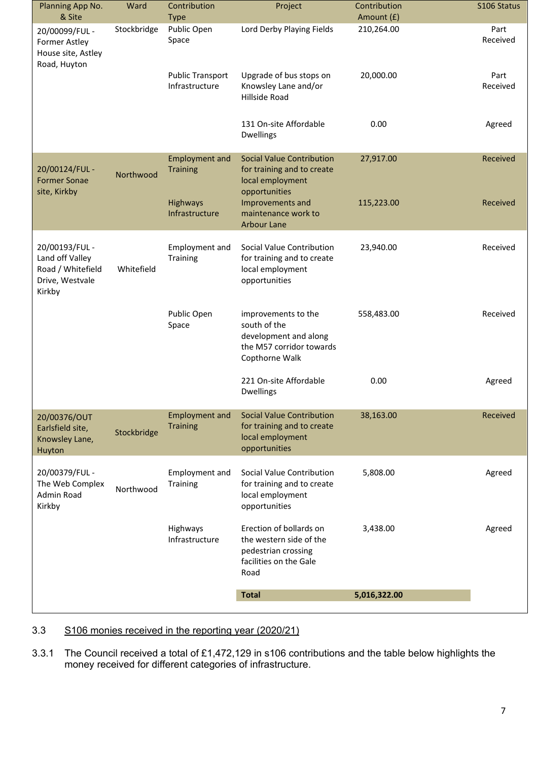| Planning App No.                                                                    | Ward        | Contribution                              | Project                                                                                                     | Contribution | S106 Status      |
|-------------------------------------------------------------------------------------|-------------|-------------------------------------------|-------------------------------------------------------------------------------------------------------------|--------------|------------------|
| & Site                                                                              |             | <b>Type</b>                               |                                                                                                             | Amount (£)   |                  |
| 20/00099/FUL -<br><b>Former Astley</b><br>House site, Astley<br>Road, Huyton        | Stockbridge | Public Open<br>Space                      | Lord Derby Playing Fields                                                                                   | 210,264.00   | Part<br>Received |
|                                                                                     |             | <b>Public Transport</b><br>Infrastructure | Upgrade of bus stops on<br>Knowsley Lane and/or<br>Hillside Road                                            | 20,000.00    | Part<br>Received |
|                                                                                     |             |                                           | 131 On-site Affordable<br><b>Dwellings</b>                                                                  | 0.00         | Agreed           |
| 20/00124/FUL -<br><b>Former Sonae</b><br>site, Kirkby                               | Northwood   | <b>Employment and</b><br><b>Training</b>  | <b>Social Value Contribution</b><br>for training and to create<br>local employment<br>opportunities         | 27,917.00    | Received         |
|                                                                                     |             | Highways<br>Infrastructure                | Improvements and<br>maintenance work to<br><b>Arbour Lane</b>                                               | 115,223.00   | Received         |
| 20/00193/FUL -<br>Land off Valley<br>Road / Whitefield<br>Drive, Westvale<br>Kirkby | Whitefield  | Employment and<br>Training                | Social Value Contribution<br>for training and to create<br>local employment<br>opportunities                | 23,940.00    | Received         |
|                                                                                     |             | Public Open<br>Space                      | improvements to the<br>south of the<br>development and along<br>the M57 corridor towards<br>Copthorne Walk  | 558,483.00   | Received         |
|                                                                                     |             |                                           | 221 On-site Affordable<br><b>Dwellings</b>                                                                  | 0.00         | Agreed           |
| 20/00376/OUT<br>Earlsfield site,<br>Knowsley Lane,<br>Huyton                        | Stockbridge | <b>Employment and</b><br><b>Training</b>  | <b>Social Value Contribution</b><br>for training and to create<br>local employment<br>opportunities         | 38,163.00    | Received         |
| 20/00379/FUL -<br>The Web Complex<br>Admin Road<br>Kirkby                           | Northwood   | Employment and<br>Training                | Social Value Contribution<br>for training and to create<br>local employment<br>opportunities                | 5,808.00     | Agreed           |
|                                                                                     |             | Highways<br>Infrastructure                | Erection of bollards on<br>the western side of the<br>pedestrian crossing<br>facilities on the Gale<br>Road | 3,438.00     | Agreed           |
|                                                                                     |             |                                           | <b>Total</b>                                                                                                | 5,016,322.00 |                  |
|                                                                                     |             |                                           |                                                                                                             |              |                  |

# 3.3 S106 monies received in the reporting year (2020/21)

3.3.1 The Council received a total of £1,472,129 in s106 contributions and the table below highlights the money received for different categories of infrastructure.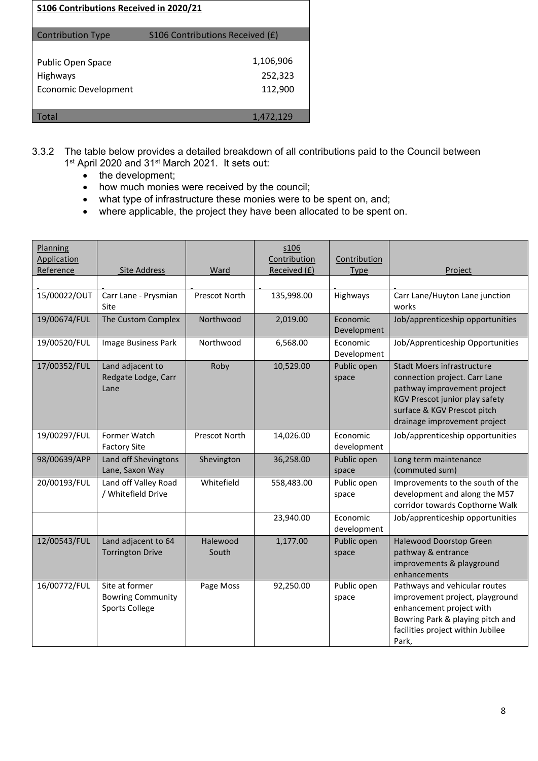| S106 Contributions Received in 2020/21                       |                                 |
|--------------------------------------------------------------|---------------------------------|
| <b>Contribution Type</b>                                     | S106 Contributions Received (£) |
| Public Open Space<br>Highways<br><b>Economic Development</b> | 1,106,906<br>252,323<br>112,900 |
| Total                                                        | 1,472,129                       |

- 3.3.2 The table below provides a detailed breakdown of all contributions paid to the Council between 1<sup>st</sup> April 2020 and 31<sup>st</sup> March 2021. It sets out:
	- the development;
	- how much monies were received by the council;
	- what type of infrastructure these monies were to be spent on, and;
	- where applicable, the project they have been allocated to be spent on.

| Planning<br>Application |                                                                     |                      | s106<br>Contribution | Contribution            |                                                                                                                                                                                                    |
|-------------------------|---------------------------------------------------------------------|----------------------|----------------------|-------------------------|----------------------------------------------------------------------------------------------------------------------------------------------------------------------------------------------------|
| Reference               | <b>Site Address</b>                                                 | Ward                 | Received (£)         | <b>Type</b>             | Project                                                                                                                                                                                            |
|                         |                                                                     |                      |                      |                         |                                                                                                                                                                                                    |
| 15/00022/OUT            | Carr Lane - Prysmian<br>Site                                        | Prescot North        | 135,998.00           | Highways                | Carr Lane/Huyton Lane junction<br>works                                                                                                                                                            |
| 19/00674/FUL            | The Custom Complex                                                  | Northwood            | 2,019.00             | Economic<br>Development | Job/apprenticeship opportunities                                                                                                                                                                   |
| 19/00520/FUL            | Image Business Park                                                 | Northwood            | 6,568.00             | Economic<br>Development | Job/Apprenticeship Opportunities                                                                                                                                                                   |
| 17/00352/FUL            | Land adjacent to<br>Redgate Lodge, Carr<br>Lane                     | Roby                 | 10,529.00            | Public open<br>space    | <b>Stadt Moers infrastructure</b><br>connection project. Carr Lane<br>pathway improvement project<br>KGV Prescot junior play safety<br>surface & KGV Prescot pitch<br>drainage improvement project |
| 19/00297/FUL            | Former Watch<br><b>Factory Site</b>                                 | <b>Prescot North</b> | 14,026.00            | Economic<br>development | Job/apprenticeship opportunities                                                                                                                                                                   |
| 98/00639/APP            | Land off Shevingtons<br>Lane, Saxon Way                             | Shevington           | 36,258.00            | Public open<br>space    | Long term maintenance<br>(commuted sum)                                                                                                                                                            |
| 20/00193/FUL            | Land off Valley Road<br>/ Whitefield Drive                          | Whitefield           | 558,483.00           | Public open<br>space    | Improvements to the south of the<br>development and along the M57<br>corridor towards Copthorne Walk                                                                                               |
|                         |                                                                     |                      | 23,940.00            | Economic<br>development | Job/apprenticeship opportunities                                                                                                                                                                   |
| 12/00543/FUL            | Land adjacent to 64<br><b>Torrington Drive</b>                      | Halewood<br>South    | 1,177.00             | Public open<br>space    | Halewood Doorstop Green<br>pathway & entrance<br>improvements & playground<br>enhancements                                                                                                         |
| 16/00772/FUL            | Site at former<br><b>Bowring Community</b><br><b>Sports College</b> | Page Moss            | 92,250.00            | Public open<br>space    | Pathways and vehicular routes<br>improvement project, playground<br>enhancement project with<br>Bowring Park & playing pitch and<br>facilities project within Jubilee<br>Park,                     |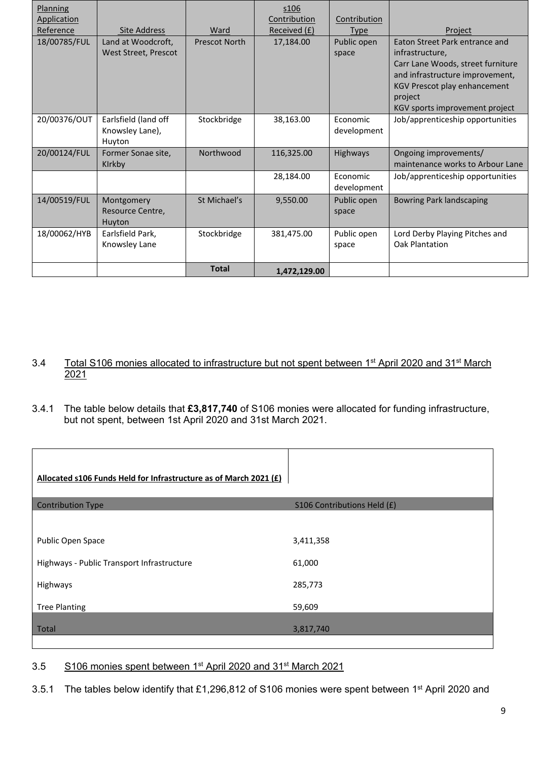| Planning     |                                                   |                      | \$106        |                         |                                                                                                                                                                                                        |
|--------------|---------------------------------------------------|----------------------|--------------|-------------------------|--------------------------------------------------------------------------------------------------------------------------------------------------------------------------------------------------------|
| Application  |                                                   |                      | Contribution | Contribution            |                                                                                                                                                                                                        |
| Reference    | Site Address                                      | Ward                 | Received (£) | <b>Type</b>             | Project                                                                                                                                                                                                |
| 18/00785/FUL | Land at Woodcroft,<br>West Street, Prescot        | <b>Prescot North</b> | 17,184.00    | Public open<br>space    | Eaton Street Park entrance and<br>infrastructure,<br>Carr Lane Woods, street furniture<br>and infrastructure improvement,<br>KGV Prescot play enhancement<br>project<br>KGV sports improvement project |
| 20/00376/OUT | Earlsfield (land off<br>Knowsley Lane),<br>Huyton | Stockbridge          | 38,163.00    | Economic<br>development | Job/apprenticeship opportunities                                                                                                                                                                       |
| 20/00124/FUL | Former Sonae site,<br>Kirkby                      | Northwood            | 116,325.00   | Highways                | Ongoing improvements/<br>maintenance works to Arbour Lane                                                                                                                                              |
|              |                                                   |                      | 28,184.00    | Economic<br>development | Job/apprenticeship opportunities                                                                                                                                                                       |
| 14/00519/FUL | Montgomery<br>Resource Centre,<br>Huyton          | St Michael's         | 9,550.00     | Public open<br>space    | <b>Bowring Park landscaping</b>                                                                                                                                                                        |
| 18/00062/HYB | Earlsfield Park,<br>Knowsley Lane                 | Stockbridge          | 381,475.00   | Public open<br>space    | Lord Derby Playing Pitches and<br>Oak Plantation                                                                                                                                                       |
|              |                                                   | <b>Total</b>         | 1,472,129.00 |                         |                                                                                                                                                                                                        |

- 3.4 Total S106 monies allocated to infrastructure but not spent between 1<sup>st</sup> April 2020 and 31<sup>st</sup> March 2021
- 3.4.1 The table below details that **£3,817,740** of S106 monies were allocated for funding infrastructure, but not spent, between 1st April 2020 and 31st March 2021.

| Allocated s106 Funds Held for Infrastructure as of March 2021 (£) |                             |
|-------------------------------------------------------------------|-----------------------------|
| <b>Contribution Type</b>                                          | S106 Contributions Held (£) |
|                                                                   |                             |
| Public Open Space                                                 | 3,411,358                   |
| Highways - Public Transport Infrastructure                        | 61,000                      |
| Highways                                                          | 285,773                     |
| <b>Tree Planting</b>                                              | 59,609                      |
| Total                                                             | 3,817,740                   |

#### 3.5 S106 monies spent between 1st April 2020 and 31st March 2021

3.5.1 The tables below identify that £1,296,812 of S106 monies were spent between 1<sup>st</sup> April 2020 and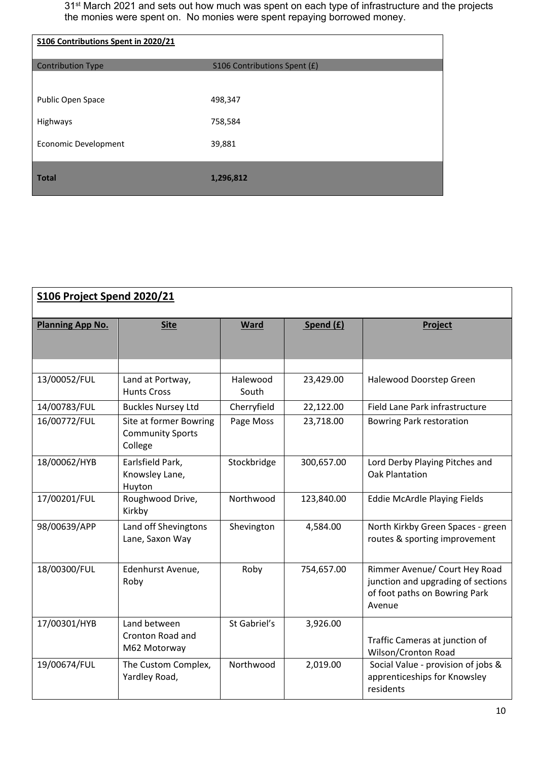31<sup>st</sup> March 2021 and sets out how much was spent on each type of infrastructure and the projects the monies were spent on. No monies were spent repaying borrowed money.

| S106 Contributions Spent in 2020/21 |                              |
|-------------------------------------|------------------------------|
| <b>Contribution Type</b>            | S106 Contributions Spent (£) |
|                                     |                              |
| Public Open Space                   | 498,347                      |
| Highways                            | 758,584                      |
| <b>Economic Development</b>         | 39,881                       |
|                                     |                              |
| <b>Total</b>                        | 1,296,812                    |

| <b>S106 Project Spend 2020/21</b> |                                                              |                   |            |                                                                                                                |  |
|-----------------------------------|--------------------------------------------------------------|-------------------|------------|----------------------------------------------------------------------------------------------------------------|--|
| <b>Planning App No.</b>           | <b>Site</b>                                                  | <b>Ward</b>       | Spend (£)  | Project                                                                                                        |  |
| 13/00052/FUL                      | Land at Portway,<br><b>Hunts Cross</b>                       | Halewood<br>South | 23,429.00  | Halewood Doorstep Green                                                                                        |  |
| 14/00783/FUL                      | <b>Buckles Nursey Ltd</b>                                    | Cherryfield       | 22,122.00  | Field Lane Park infrastructure                                                                                 |  |
| 16/00772/FUL                      | Site at former Bowring<br><b>Community Sports</b><br>College | Page Moss         | 23,718.00  | <b>Bowring Park restoration</b>                                                                                |  |
| 18/00062/HYB                      | Earlsfield Park,<br>Knowsley Lane,<br>Huyton                 | Stockbridge       | 300,657.00 | Lord Derby Playing Pitches and<br><b>Oak Plantation</b>                                                        |  |
| 17/00201/FUL                      | Roughwood Drive,<br>Kirkby                                   | Northwood         | 123,840.00 | <b>Eddie McArdle Playing Fields</b>                                                                            |  |
| 98/00639/APP                      | Land off Shevingtons<br>Lane, Saxon Way                      | Shevington        | 4,584.00   | North Kirkby Green Spaces - green<br>routes & sporting improvement                                             |  |
| 18/00300/FUL                      | Edenhurst Avenue,<br>Roby                                    | Roby              | 754,657.00 | Rimmer Avenue/ Court Hey Road<br>junction and upgrading of sections<br>of foot paths on Bowring Park<br>Avenue |  |
| 17/00301/HYB                      | Land between<br>Cronton Road and<br>M62 Motorway             | St Gabriel's      | 3,926.00   | Traffic Cameras at junction of<br>Wilson/Cronton Road                                                          |  |
| 19/00674/FUL                      | The Custom Complex,<br>Yardley Road,                         | Northwood         | 2,019.00   | Social Value - provision of jobs &<br>apprenticeships for Knowsley<br>residents                                |  |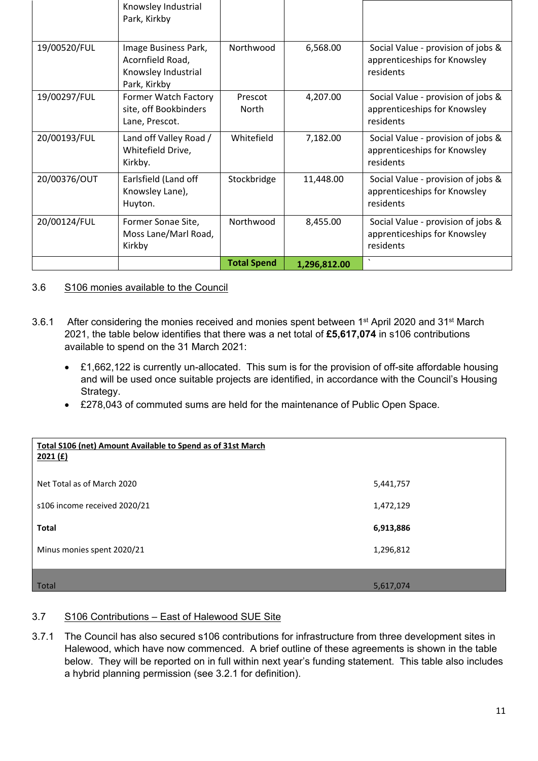|              | Knowsley Industrial<br>Park, Kirkby                                             |                    |              |                                                                                 |
|--------------|---------------------------------------------------------------------------------|--------------------|--------------|---------------------------------------------------------------------------------|
| 19/00520/FUL | Image Business Park,<br>Acornfield Road,<br>Knowsley Industrial<br>Park, Kirkby | Northwood          | 6,568.00     | Social Value - provision of jobs &<br>apprenticeships for Knowsley<br>residents |
| 19/00297/FUL | Former Watch Factory<br>site, off Bookbinders<br>Lane, Prescot.                 | Prescot<br>North   | 4,207.00     | Social Value - provision of jobs &<br>apprenticeships for Knowsley<br>residents |
| 20/00193/FUL | Land off Valley Road /<br>Whitefield Drive,<br>Kirkby.                          | Whitefield         | 7,182.00     | Social Value - provision of jobs &<br>apprenticeships for Knowsley<br>residents |
| 20/00376/OUT | Earlsfield (Land off<br>Knowsley Lane),<br>Huyton.                              | Stockbridge        | 11,448.00    | Social Value - provision of jobs &<br>apprenticeships for Knowsley<br>residents |
| 20/00124/FUL | Former Sonae Site,<br>Moss Lane/Marl Road,<br>Kirkby                            | Northwood          | 8,455.00     | Social Value - provision of jobs &<br>apprenticeships for Knowsley<br>residents |
|              |                                                                                 | <b>Total Spend</b> | 1,296,812.00 | $\boldsymbol{\checkmark}$                                                       |

## 3.6 S106 monies available to the Council

- 3.6.1 After considering the monies received and monies spent between 1st April 2020 and 31st March 2021, the table below identifies that there was a net total of **£5,617,074** in s106 contributions available to spend on the 31 March 2021:
	- £1,662,122 is currently un-allocated. This sum is for the provision of off-site affordable housing and will be used once suitable projects are identified, in accordance with the Council's Housing Strategy.
	- £278,043 of commuted sums are held for the maintenance of Public Open Space.

| Total S106 (net) Amount Available to Spend as of 31st March<br>2021(f) |           |
|------------------------------------------------------------------------|-----------|
| Net Total as of March 2020                                             | 5,441,757 |
| s106 income received 2020/21                                           | 1,472,129 |
| <b>Total</b>                                                           | 6,913,886 |
| Minus monies spent 2020/21                                             | 1,296,812 |
|                                                                        |           |
| Total                                                                  | 5,617,074 |

#### 3.7 S106 Contributions – East of Halewood SUE Site

3.7.1 The Council has also secured s106 contributions for infrastructure from three development sites in Halewood, which have now commenced. A brief outline of these agreements is shown in the table below. They will be reported on in full within next year's funding statement. This table also includes a hybrid planning permission (see 3.2.1 for definition).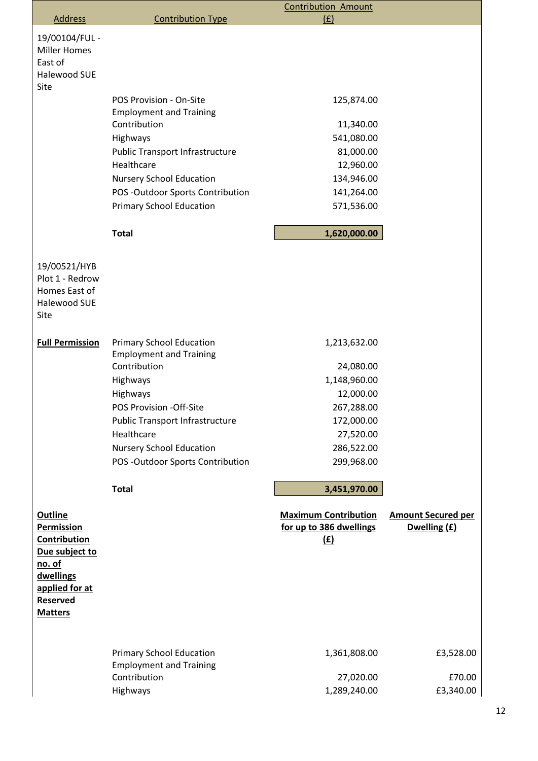|                                                                                                                                   |                                                                                               | <b>Contribution Amount</b>                                           |                                           |
|-----------------------------------------------------------------------------------------------------------------------------------|-----------------------------------------------------------------------------------------------|----------------------------------------------------------------------|-------------------------------------------|
| <b>Address</b>                                                                                                                    | <b>Contribution Type</b>                                                                      | (f)                                                                  |                                           |
| 19/00104/FUL -<br><b>Miller Homes</b><br>East of<br><b>Halewood SUE</b><br>Site                                                   |                                                                                               |                                                                      |                                           |
|                                                                                                                                   | POS Provision - On-Site                                                                       | 125,874.00                                                           |                                           |
|                                                                                                                                   | <b>Employment and Training</b>                                                                |                                                                      |                                           |
|                                                                                                                                   | Contribution                                                                                  | 11,340.00                                                            |                                           |
|                                                                                                                                   | Highways                                                                                      | 541,080.00                                                           |                                           |
|                                                                                                                                   | <b>Public Transport Infrastructure</b><br>Healthcare                                          | 81,000.00<br>12,960.00                                               |                                           |
|                                                                                                                                   | <b>Nursery School Education</b>                                                               | 134,946.00                                                           |                                           |
|                                                                                                                                   | POS-Outdoor Sports Contribution                                                               | 141,264.00                                                           |                                           |
|                                                                                                                                   | <b>Primary School Education</b>                                                               | 571,536.00                                                           |                                           |
|                                                                                                                                   | <b>Total</b>                                                                                  | 1,620,000.00                                                         |                                           |
| 19/00521/HYB<br>Plot 1 - Redrow<br>Homes East of<br><b>Halewood SUE</b><br>Site                                                   |                                                                                               |                                                                      |                                           |
| <b>Full Permission</b>                                                                                                            | <b>Primary School Education</b><br><b>Employment and Training</b>                             | 1,213,632.00                                                         |                                           |
|                                                                                                                                   | Contribution                                                                                  | 24,080.00                                                            |                                           |
|                                                                                                                                   | Highways                                                                                      | 1,148,960.00                                                         |                                           |
|                                                                                                                                   | Highways                                                                                      | 12,000.00                                                            |                                           |
|                                                                                                                                   | POS Provision -Off-Site                                                                       | 267,288.00                                                           |                                           |
|                                                                                                                                   | <b>Public Transport Infrastructure</b>                                                        | 172,000.00                                                           |                                           |
|                                                                                                                                   | Healthcare                                                                                    | 27,520.00                                                            |                                           |
|                                                                                                                                   | <b>Nursery School Education</b>                                                               | 286,522.00                                                           |                                           |
|                                                                                                                                   | POS-Outdoor Sports Contribution                                                               | 299,968.00                                                           |                                           |
|                                                                                                                                   | <b>Total</b>                                                                                  | 3,451,970.00                                                         |                                           |
| <b>Outline</b><br><b>Permission</b><br>Contribution<br>Due subject to<br>no. of<br>dwellings<br>applied for at<br><b>Reserved</b> |                                                                                               | <b>Maximum Contribution</b><br>for up to 386 dwellings<br><u>(£)</u> | <b>Amount Secured per</b><br>Dwelling (£) |
| <b>Matters</b>                                                                                                                    | <b>Primary School Education</b><br><b>Employment and Training</b><br>Contribution<br>Highways | 1,361,808.00<br>27,020.00<br>1,289,240.00                            | £3,528.00<br>£70.00<br>£3,340.00          |